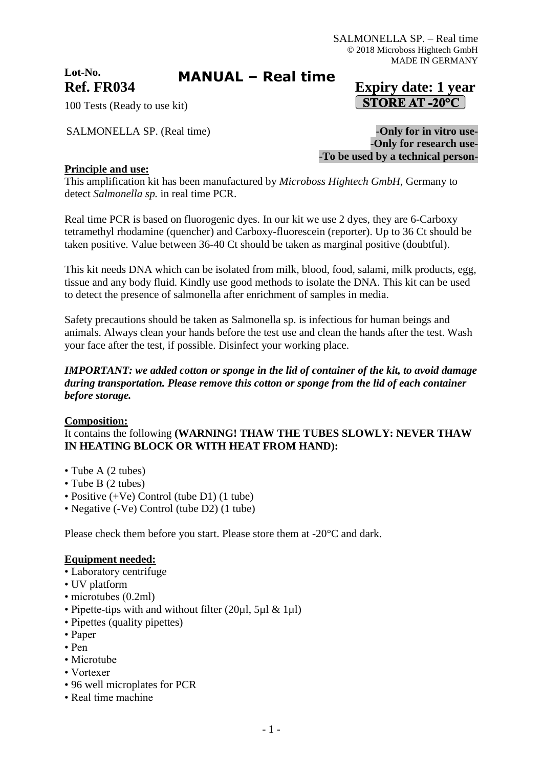**Lot-No.**

# **MANUAL – Real time**

# **Ref. FR034 Expiry date: 1 year STORE AT -20°C**

100 Tests (Ready to use kit)

SALMONELLA SP. (Real time)  $-My$  for in vitro use-

-**Only for research use-** -**To be used by a technical person-**

### **Principle and use:**

This amplification kit has been manufactured by *Microboss Hightech GmbH*, Germany to detect *Salmonella sp.* in real time PCR.

Real time PCR is based on fluorogenic dyes. In our kit we use 2 dyes, they are 6-Carboxy tetramethyl rhodamine (quencher) and Carboxy-fluorescein (reporter). Up to 36 Ct should be taken positive. Value between 36-40 Ct should be taken as marginal positive (doubtful).

This kit needs DNA which can be isolated from milk, blood, food, salami, milk products, egg, tissue and any body fluid. Kindly use good methods to isolate the DNA. This kit can be used to detect the presence of salmonella after enrichment of samples in media.

Safety precautions should be taken as Salmonella sp. is infectious for human beings and animals. Always clean your hands before the test use and clean the hands after the test. Wash your face after the test, if possible. Disinfect your working place.

### *IMPORTANT: we added cotton or sponge in the lid of container of the kit, to avoid damage during transportation. Please remove this cotton or sponge from the lid of each container before storage.*

### **Composition:**

It contains the following **(WARNING! THAW THE TUBES SLOWLY: NEVER THAW IN HEATING BLOCK OR WITH HEAT FROM HAND):**

- Tube A (2 tubes)
- Tube B (2 tubes)
- Positive (+Ve) Control (tube D1) (1 tube)
- Negative (-Ve) Control (tube D2) (1 tube)

Please check them before you start. Please store them at -20°C and dark.

#### **Equipment needed:**

- Laboratory centrifuge
- UV platform
- microtubes (0.2ml)
- Pipette-tips with and without filter (20µl, 5µl & 1µl)
- Pipettes (quality pipettes)
- Paper
- Pen
- Microtube
- Vortexer
- 96 well microplates for PCR
- Real time machine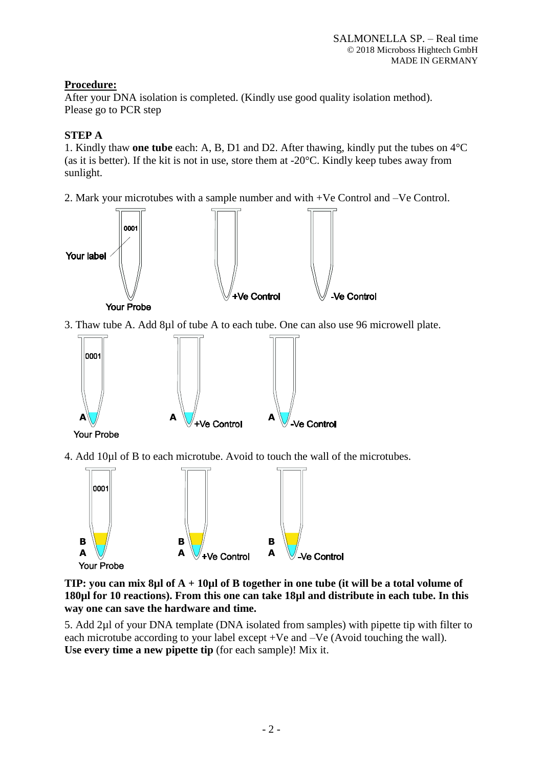### **Procedure:**

After your DNA isolation is completed. (Kindly use good quality isolation method). Please go to PCR step

## **STEP A**

1. Kindly thaw **one tube** each: A, B, D1 and D2. After thawing, kindly put the tubes on 4°C (as it is better). If the kit is not in use, store them at -20°C. Kindly keep tubes away from sunlight.

2. Mark your microtubes with a sample number and with +Ve Control and –Ve Control.



3. Thaw tube A. Add 8µl of tube A to each tube. One can also use 96 microwell plate.



4. Add 10µl of B to each microtube. Avoid to touch the wall of the microtubes.



**TIP: you can mix 8µl of A + 10µl of B together in one tube (it will be a total volume of 180µl for 10 reactions). From this one can take 18µl and distribute in each tube. In this way one can save the hardware and time.**

5. Add 2µl of your DNA template (DNA isolated from samples) with pipette tip with filter to each microtube according to your label except +Ve and –Ve (Avoid touching the wall). **Use every time a new pipette tip** (for each sample)! Mix it.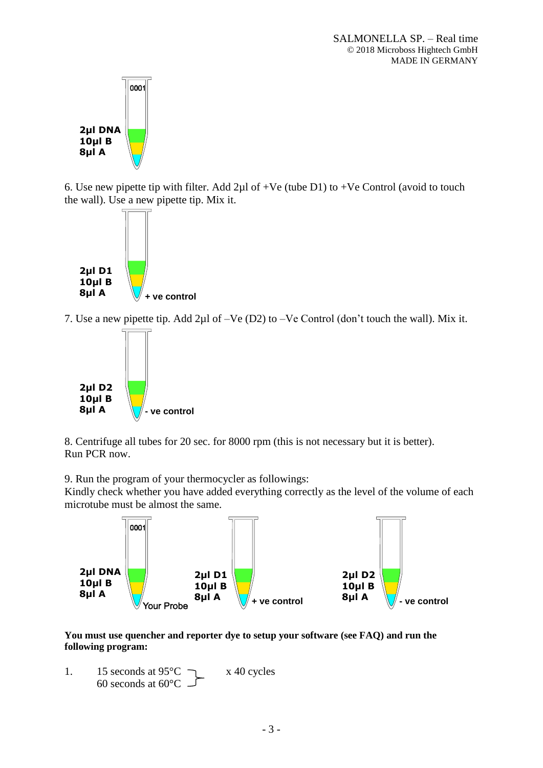

6. Use new pipette tip with filter. Add  $2\mu$ l of +Ve (tube D1) to +Ve Control (avoid to touch the wall). Use a new pipette tip. Mix it.



7. Use a new pipette tip. Add 2µl of –Ve (D2) to –Ve Control (don't touch the wall). Mix it.



8. Centrifuge all tubes for 20 sec. for 8000 rpm (this is not necessary but it is better). Run PCR now.

9. Run the program of your thermocycler as followings:

Kindly check whether you have added everything correctly as the level of the volume of each microtube must be almost the same.



**You must use quencher and reporter dye to setup your software (see FAQ) and run the following program:**

1. 15 seconds at  $95^{\circ}$ C  $\rightarrow x$  40 cycles 60 seconds at 60°C